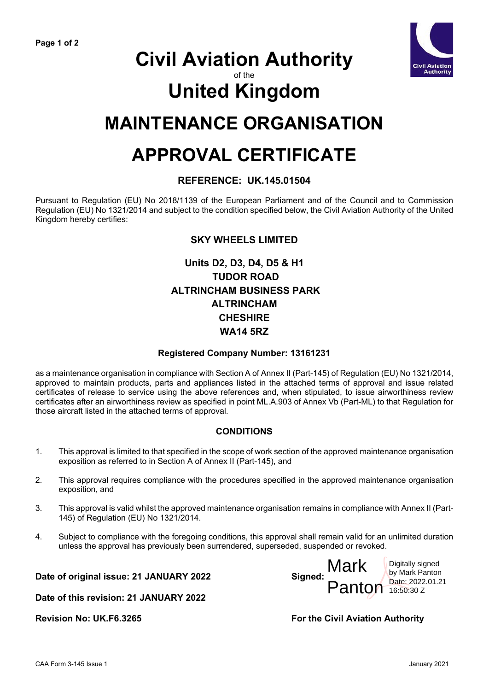

## **Civil Aviation Authority**

#### of the

# **United Kingdom**

### **MAINTENANCE ORGANISATION**

## **APPROVAL CERTIFICATE**

#### **REFERENCE: UK.145.01504**

Pursuant to Regulation (EU) No 2018/1139 of the European Parliament and of the Council and to Commission Regulation (EU) No 1321/2014 and subject to the condition specified below, the Civil Aviation Authority of the United Kingdom hereby certifies:

#### **SKY WHEELS LIMITED**

### **Units D2, D3, D4, D5 & H1 TUDOR ROAD ALTRINCHAM BUSINESS PARK ALTRINCHAM CHESHIRE WA14 5RZ**

#### **Registered Company Number: 13161231**

as a maintenance organisation in compliance with Section A of Annex II (Part-145) of Regulation (EU) No 1321/2014, approved to maintain products, parts and appliances listed in the attached terms of approval and issue related certificates of release to service using the above references and, when stipulated, to issue airworthiness review certificates after an airworthiness review as specified in point ML.A.903 of Annex Vb (Part-ML) to that Regulation for those aircraft listed in the attached terms of approval.

#### **CONDITIONS**

- 1. This approval is limited to that specified in the scope of work section of the approved maintenance organisation exposition as referred to in Section A of Annex II (Part-145), and
- 2. This approval requires compliance with the procedures specified in the approved maintenance organisation exposition, and
- 3. This approval is valid whilst the approved maintenance organisation remains in compliance with Annex II (Part-145) of Regulation (EU) No 1321/2014.
- 4. Subject to compliance with the foregoing conditions, this approval shall remain valid for an unlimited duration unless the approval has previously been surrendered, superseded, suspended or revoked.

**Date of original issue: 21 JANUARY 2022 Signed:**



Mark Panton Date: 2022.01.21 Digitally signed by Mark Panton 16:50:30 Z

**Revision No: UK.F6.3265 For the Civil Aviation Authority**